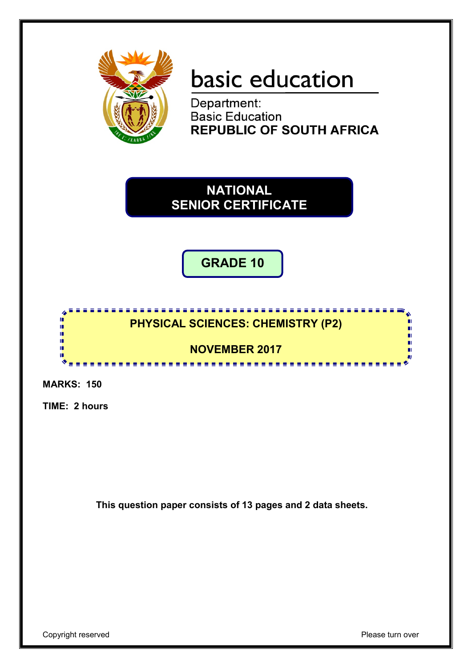

# basic education

Department: **Basic Education REPUBLIC OF SOUTH AFRICA** 

**NATIONAL SENIOR CERTIFICATE**

**GRADE 10**

### <u>.............................</u> **PHYSICAL SCIENCES: CHEMISTRY (P2)**

**NOVEMBER 2017** --------------------

**MARKS: 150**

ń ă

ú

'n ú. т

**TIME: 2 hours**

**This question paper consists of 13 pages and 2 data sheets.**

п

m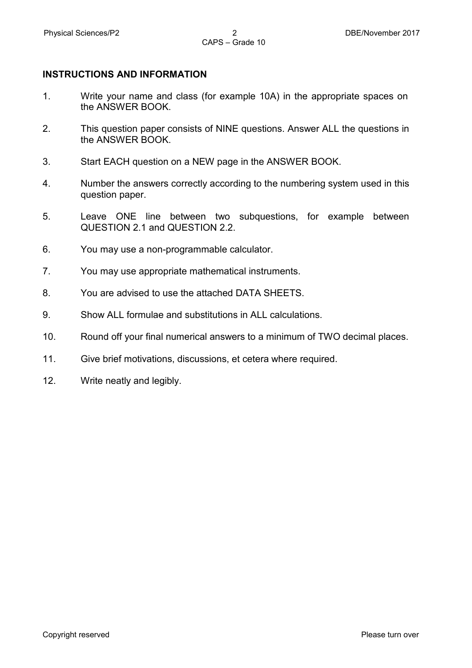### **INSTRUCTIONS AND INFORMATION**

- 1. Write your name and class (for example 10A) in the appropriate spaces on the ANSWER BOOK.
- 2. This question paper consists of NINE questions. Answer ALL the questions in the ANSWER BOOK.
- 3. Start EACH question on a NEW page in the ANSWER BOOK.
- 4. Number the answers correctly according to the numbering system used in this question paper.
- 5. Leave ONE line between two subquestions, for example between QUESTION 2.1 and QUESTION 2.2.
- 6. You may use a non-programmable calculator.
- 7. You may use appropriate mathematical instruments.
- 8. You are advised to use the attached DATA SHEETS.
- 9. Show ALL formulae and substitutions in ALL calculations.
- 10. Round off your final numerical answers to a minimum of TWO decimal places.
- 11. Give brief motivations, discussions, et cetera where required.
- 12. Write neatly and legibly.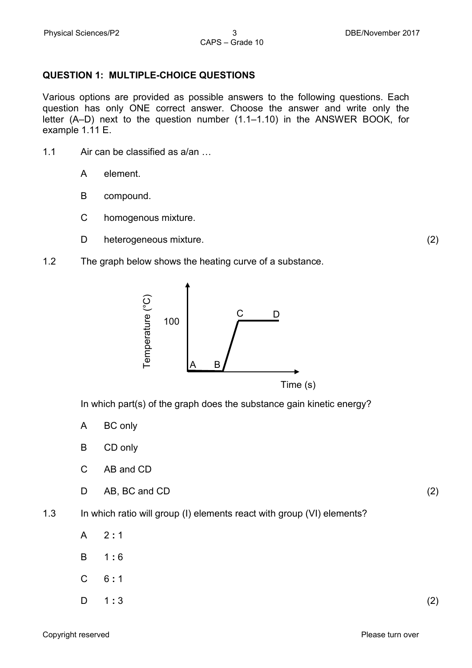### **QUESTION 1: MULTIPLE-CHOICE QUESTIONS**

Various options are provided as possible answers to the following questions. Each question has only ONE correct answer. Choose the answer and write only the letter (A–D) next to the question number (1.1–1.10) in the ANSWER BOOK, for example 1.11 E.

- 1.1 Air can be classified as a/an …
	- A element.
	- B compound.
	- C homogenous mixture.
	- D heterogeneous mixture. (2)
- 1.2 The graph below shows the heating curve of a substance.



In which part(s) of the graph does the substance gain kinetic energy?

- A BC only
- B CD only
- C AB and CD
- D AB, BC and CD (2)

- 1.3 In which ratio will group (I) elements react with group (VI) elements?
	- A 2 **:** 1
	- B 1 **:** 6
	- $\overline{C}$ 6 **:** 1
	- D 1 **:** 3 (2)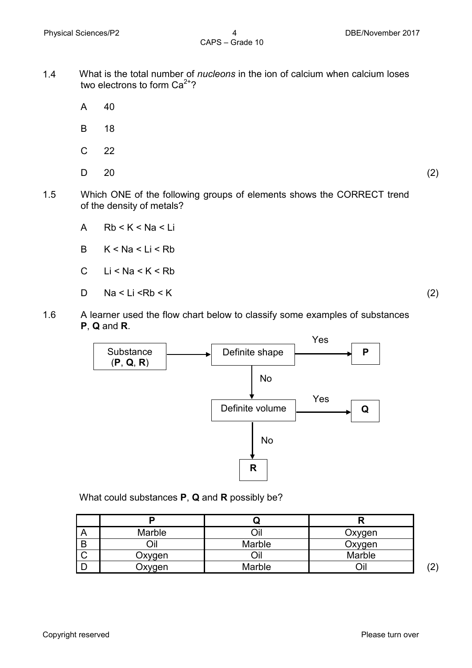- 1.4 What is the total number of *nucleons* in the ion of calcium when calcium loses two electrons to form  $Ca^{2+}$ ?
	- A 40
	- B 18
	- C 22
	- D

 $20$  (2)

- 1.5 Which ONE of the following groups of elements shows the CORRECT trend of the density of metals?
	- A  $Rb < K < Na < Li$
	- B  $K < Na < Li < Rb$
	- C  $Li < Na < K < Rb$
	- D<sub>1</sub>  $Na < Li < Rb < K$  (2)

1.6 A learner used the flow chart below to classify some examples of substances **P**, **Q** and **R**.



What could substances **P**, **Q** and **R** possibly be?

| $\overline{A}$ | Marble |        | Oxygen |             |
|----------------|--------|--------|--------|-------------|
| B              |        | Marble | Oxygen |             |
|                | Oxygen |        | Marble |             |
|                | Oxygen | Marble |        | ו רי<br>ر ڪ |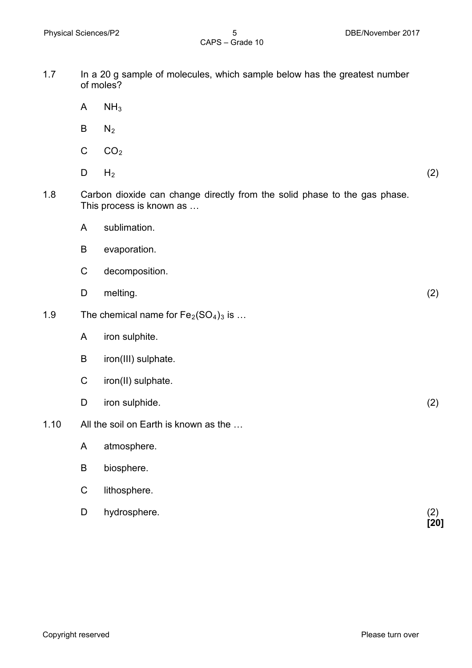- 1.7 In a 20 g sample of molecules, which sample below has the greatest number of moles?
	- A  $NH<sub>3</sub>$
	- B  $N<sub>2</sub>$
	- C  $CO<sub>2</sub>$
	- D  $H_2$  (2)
		-
- 1.8 Carbon dioxide can change directly from the solid phase to the gas phase. This process is known as …
	- A sublimation.
	- B evaporation.
	- C decomposition.
	- D melting. (2)
- 1.9 The chemical name for  $Fe<sub>2</sub>(SO<sub>4</sub>)<sub>3</sub>$  is ...
	- A iron sulphite.
	- B iron(III) sulphate.
	- C iron(II) sulphate.
	- D iron sulphide. (2)
- 1.10 All the soil on Earth is known as the …
	- A atmosphere.
	- B biosphere.
	- C lithosphere.
	- D hydrosphere. (2)
- **[20]**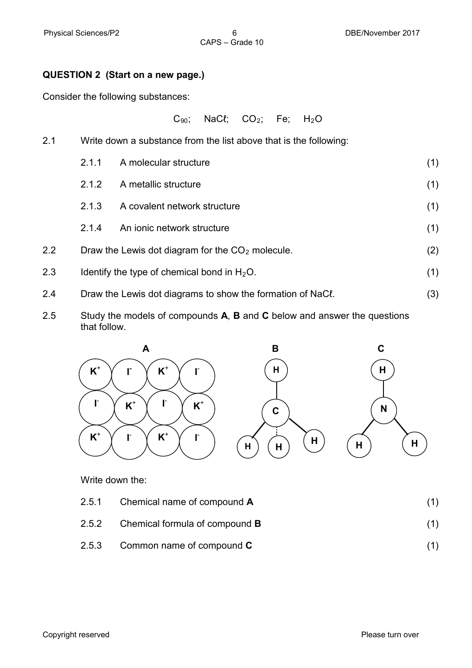### **QUESTION 2 (Start on a new page.)**

Consider the following substances:

 $C_{90}$ ; NaC $\ell$ ; CO<sub>2</sub>; Fe; H<sub>2</sub>O

- 2.1 Write down a substance from the list above that is the following: 2.1.1 A molecular structure (1) 2.1.2 A metallic structure (1) 2.1.3 A covalent network structure (1) 2.1.4 An ionic network structure (1) 2.2 Draw the Lewis dot diagram for the  $CO<sub>2</sub>$  molecule. (2) 2.3 Identify the type of chemical bond in  $H_2O$ . (1) 2.4 Draw the Lewis dot diagrams to show the formation of NaCl. (3)
- 2.5 Study the models of compounds **A**, **B** and **C** below and answer the questions that follow.



Write down the:

- 2.5.1 Chemical name of compound **A** (1)
- 2.5.2 Chemical formula of compound **B** (1)
- 2.5.3 Common name of compound **C** (1)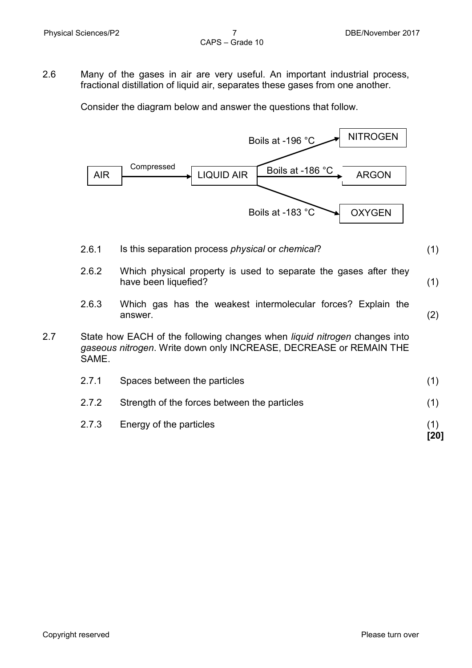2.6 Many of the gases in air are very useful. An important industrial process, fractional distillation of liquid air, separates these gases from one another.

Consider the diagram below and answer the questions that follow.



- 2.6.1 Is this separation process *physical* or *chemical*? (1)
- 2.6.2 Which physical property is used to separate the gases after they have been liquefied? (1)
- 2.6.3 Which gas has the weakest intermolecular forces? Explain the answer. (2)
- 2.7 State how EACH of the following changes when *liquid nitrogen* changes into *gaseous nitrogen*. Write down only INCREASE, DECREASE or REMAIN THE SAME.

| 2.7.1 | Spaces between the particles                 |  |
|-------|----------------------------------------------|--|
| 2.7.2 | Strength of the forces between the particles |  |
| 2.7.3 | Energy of the particles                      |  |

**[20]**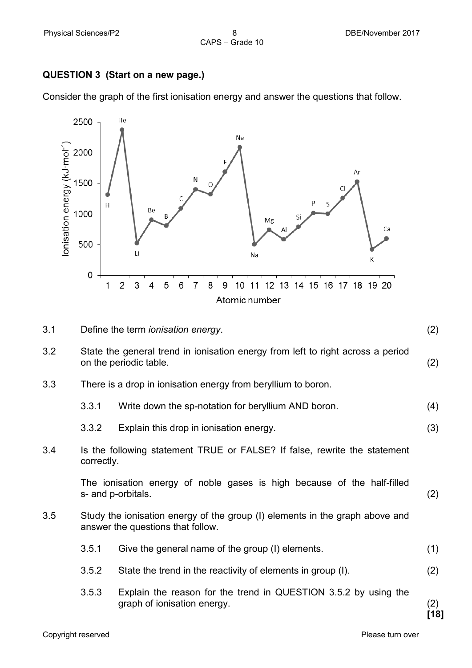### **QUESTION 3 (Start on a new page.)**

Consider the graph of the first ionisation energy and answer the questions that follow.



| 3.1 |                                                                                               | Define the term <i>ionisation</i> energy.                                                                         | (2)         |  |  |  |  |  |  |
|-----|-----------------------------------------------------------------------------------------------|-------------------------------------------------------------------------------------------------------------------|-------------|--|--|--|--|--|--|
| 3.2 |                                                                                               | State the general trend in ionisation energy from left to right across a period<br>on the periodic table.         | (2)         |  |  |  |  |  |  |
| 3.3 | There is a drop in ionisation energy from beryllium to boron.                                 |                                                                                                                   |             |  |  |  |  |  |  |
|     | 3.3.1                                                                                         | Write down the sp-notation for beryllium AND boron.                                                               | (4)         |  |  |  |  |  |  |
|     | 3.3.2                                                                                         | Explain this drop in ionisation energy.                                                                           | (3)         |  |  |  |  |  |  |
| 3.4 | Is the following statement TRUE or FALSE? If false, rewrite the statement<br>correctly.       |                                                                                                                   |             |  |  |  |  |  |  |
|     | The ionisation energy of noble gases is high because of the half-filled<br>s- and p-orbitals. |                                                                                                                   |             |  |  |  |  |  |  |
| 3.5 |                                                                                               | Study the ionisation energy of the group (I) elements in the graph above and<br>answer the questions that follow. |             |  |  |  |  |  |  |
|     | 3.5.1                                                                                         | Give the general name of the group (I) elements.                                                                  | (1)         |  |  |  |  |  |  |
|     | 3.5.2<br>State the trend in the reactivity of elements in group (I).                          |                                                                                                                   |             |  |  |  |  |  |  |
|     | 3.5.3                                                                                         | Explain the reason for the trend in QUESTION 3.5.2 by using the<br>graph of ionisation energy.                    | (2)<br>[18] |  |  |  |  |  |  |
|     |                                                                                               |                                                                                                                   |             |  |  |  |  |  |  |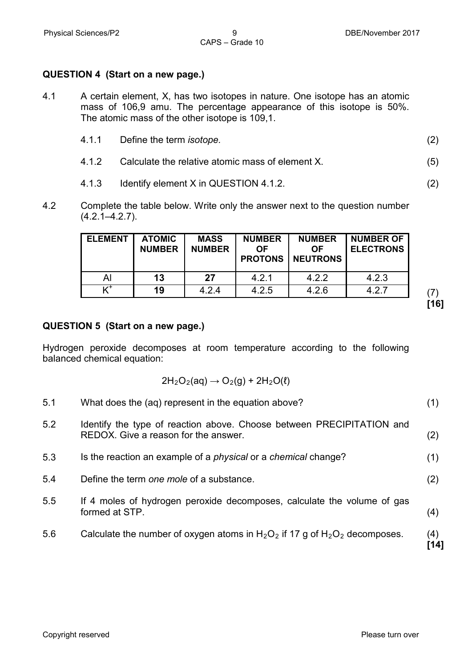### **QUESTION 4 (Start on a new page.)**

- 4.1 A certain element, X, has two isotopes in nature. One isotope has an atomic mass of 106,9 amu. The percentage appearance of this isotope is 50%. The atomic mass of the other isotope is 109,1.
	- 4.1.1 Define the term *isotope.* (2)
	- 4.1.2 Calculate the relative atomic mass of element X. (5)
	- 4.1.3 Identify element X in QUESTION 4.1.2. (2)
- 4.2 Complete the table below. Write only the answer next to the question number  $(4.2.1 - 4.2.7)$ .

| <b>ELEMENT</b> | <b>ATOMIC</b><br><b>NUMBER</b> | <b>MASS</b><br><b>NUMBER</b> | <b>NUMBER</b><br>OF<br><b>PROTONS</b> | <b>NUMBER</b><br>ΟF<br><b>NEUTRONS</b> | <b>NUMBER OF</b><br><b>ELECTRONS</b> |
|----------------|--------------------------------|------------------------------|---------------------------------------|----------------------------------------|--------------------------------------|
| Al             | 13                             | 27                           | 4.2.1                                 | 4.2.2                                  | 4.2.3                                |
|                | 19                             | 4.2.4                        | 4.2.5                                 | 4.2.6                                  | 4.2.7                                |

**[16]**

### **QUESTION 5 (Start on a new page.)**

Hydrogen peroxide decomposes at room temperature according to the following balanced chemical equation:

$$
2H_2O_2(aq) \rightarrow O_2(g) + 2H_2O(\ell)
$$

5.1 What does the (aq) represent in the equation above? (1)

- 5.2 Identify the type of reaction above. Choose between PRECIPITATION and REDOX. Give a reason for the answer. (2)
- 5.3 Is the reaction an example of a *physical* or a *chemical* change? (1)
- 5.4 Define the term *one mole* of a substance. (2)
- 5.5 If 4 moles of hydrogen peroxide decomposes, calculate the volume of gas formed at STP. (4)
- 5.6 Calculate the number of oxygen atoms in  $H_2O_2$  if 17 g of  $H_2O_2$  decomposes. (4)

**[14]**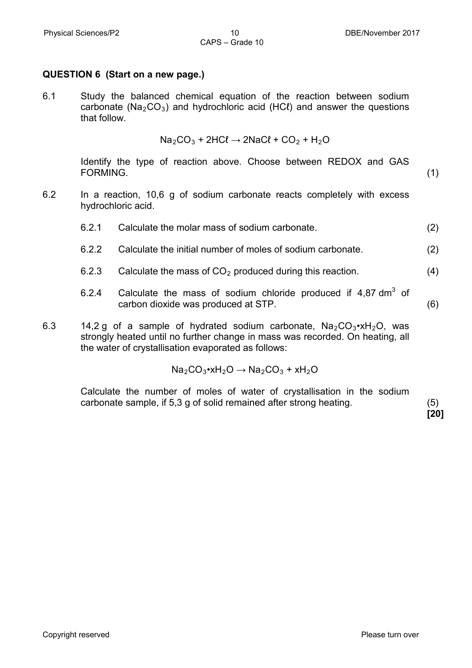## **QUESTION 6 (Start on a new page.)**

6.1 Study the balanced chemical equation of the reaction between sodium carbonate ( $Na<sub>2</sub>CO<sub>3</sub>$ ) and hydrochloric acid (HC $\ell$ ) and answer the questions that follow.

$$
Na_2CO_3 + 2HCl \rightarrow 2NaCl + CO_2 + H_2O
$$

Identify the type of reaction above. Choose between REDOX and GAS FORMING. (1)

6.2 In a reaction, 10,6 g of sodium carbonate reacts completely with excess hydrochloric acid.

6.2.1 Calculate the molar mass of sodium carbonate. (2)

- 6.2.2 Calculate the initial number of moles of sodium carbonate. (2)
- 6.2.3 Calculate the mass of  $CO<sub>2</sub>$  produced during this reaction.  $(4)$
- 6.2.4 Calculate the mass of sodium chloride produced if  $4.87 \text{ dm}^3$  of carbon dioxide was produced at STP. (6)
- 6.3 14,2 g of a sample of hydrated sodium carbonate,  $Na<sub>2</sub>CO<sub>3</sub>$  $\cdot$ xH<sub>2</sub>O, was strongly heated until no further change in mass was recorded. On heating, all the water of crystallisation evaporated as follows:

 $Na<sub>2</sub>CO<sub>3</sub>$ •xH<sub>2</sub>O  $\rightarrow$  Na<sub>2</sub>CO<sub>3</sub> + xH<sub>2</sub>O

Calculate the number of moles of water of crystallisation in the sodium carbonate sample, if 5,3 g of solid remained after strong heating. (5)

**[20]**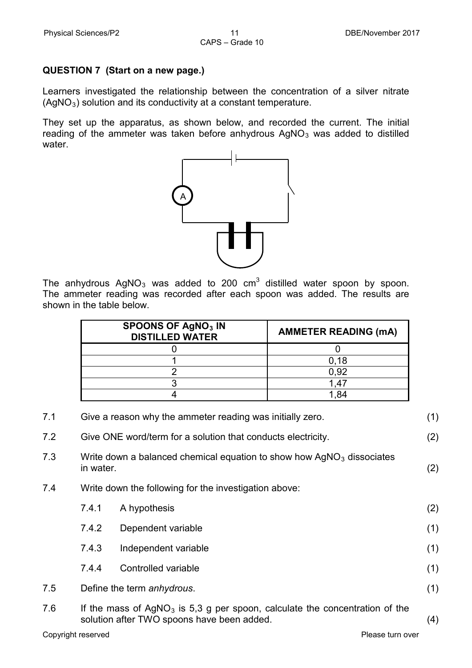### **QUESTION 7 (Start on a new page.)**

Learners investigated the relationship between the concentration of a silver nitrate  $(AgNO<sub>3</sub>)$  solution and its conductivity at a constant temperature.

They set up the apparatus, as shown below, and recorded the current. The initial reading of the ammeter was taken before anhydrous  $AgNO<sub>3</sub>$  was added to distilled water.



The anhydrous  $AqNO<sub>3</sub>$  was added to 200 cm<sup>3</sup> distilled water spoon by spoon. The ammeter reading was recorded after each spoon was added. The results are shown in the table below.

| <b>SPOONS OF AgNO3 IN</b><br><b>DISTILLED WATER</b> | <b>AMMETER READING (mA)</b> |
|-----------------------------------------------------|-----------------------------|
|                                                     |                             |
|                                                     | 0.18                        |
|                                                     | 0.92                        |
|                                                     |                             |
|                                                     |                             |

| 7.1 | Give a reason why the ammeter reading was initially zero.<br>(1)                                                                   |                                                              |     |  |  |  |  |  |  |  |
|-----|------------------------------------------------------------------------------------------------------------------------------------|--------------------------------------------------------------|-----|--|--|--|--|--|--|--|
| 7.2 |                                                                                                                                    | Give ONE word/term for a solution that conducts electricity. | (2) |  |  |  |  |  |  |  |
| 7.3 | Write down a balanced chemical equation to show how $AgNO3$ dissociates<br>in water.<br>(2)                                        |                                                              |     |  |  |  |  |  |  |  |
| 7.4 | Write down the following for the investigation above:                                                                              |                                                              |     |  |  |  |  |  |  |  |
|     | 7.4.1                                                                                                                              | A hypothesis                                                 | (2) |  |  |  |  |  |  |  |
|     | 7.4.2<br>Dependent variable                                                                                                        |                                                              |     |  |  |  |  |  |  |  |
|     | 7.4.3                                                                                                                              | Independent variable                                         | (1) |  |  |  |  |  |  |  |
|     | 7.4.4                                                                                                                              | Controlled variable                                          | (1) |  |  |  |  |  |  |  |
| 7.5 | Define the term anhydrous.                                                                                                         |                                                              |     |  |  |  |  |  |  |  |
| 7.6 | If the mass of $AgNO3$ is 5,3 g per spoon, calculate the concentration of the<br>solution after TWO spoons have been added.<br>(4) |                                                              |     |  |  |  |  |  |  |  |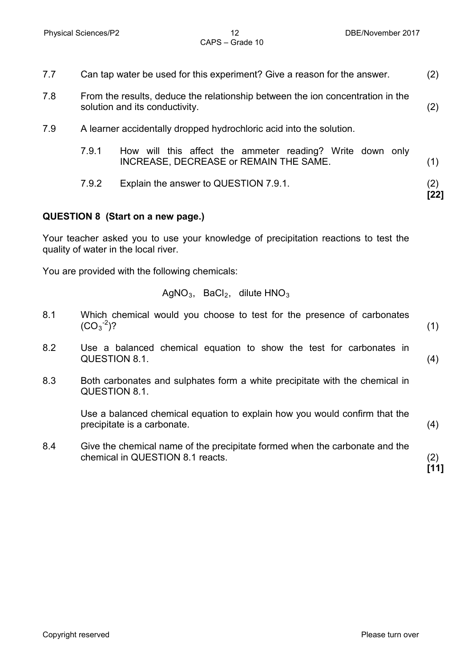| 7.7 | Can tap water be used for this experiment? Give a reason for the answer. |                                                                                                                  |     |  |  |  |  |  |  |  |  |
|-----|--------------------------------------------------------------------------|------------------------------------------------------------------------------------------------------------------|-----|--|--|--|--|--|--|--|--|
| 7.8 |                                                                          | From the results, deduce the relationship between the ion concentration in the<br>solution and its conductivity. | (2) |  |  |  |  |  |  |  |  |
| 7.9 | A learner accidentally dropped hydrochloric acid into the solution.      |                                                                                                                  |     |  |  |  |  |  |  |  |  |
|     | 7.9.1                                                                    | How will this affect the ammeter reading? Write down only<br>INCREASE, DECREASE or REMAIN THE SAME.              | (1) |  |  |  |  |  |  |  |  |
|     | 7.9.2                                                                    | Explain the answer to QUESTION 7.9.1.                                                                            | (2) |  |  |  |  |  |  |  |  |

### **QUESTION 8 (Start on a new page.)**

Your teacher asked you to use your knowledge of precipitation reactions to test the quality of water in the local river.

You are provided with the following chemicals:

$$
AgNO3, BaCl2, dilute HNO3
$$

- 8.1 Which chemical would you choose to test for the presence of carbonates  $(CO_3^{-2})$  $)$ ? (1)
- 8.2 Use a balanced chemical equation to show the test for carbonates in QUESTION 8.1. (4)
- 8.3 Both carbonates and sulphates form a white precipitate with the chemical in QUESTION 8.1.

Use a balanced chemical equation to explain how you would confirm that the precipitate is a carbonate. (4)

8.4 Give the chemical name of the precipitate formed when the carbonate and the chemical in QUESTION 8.1 reacts. (2)

**[11]**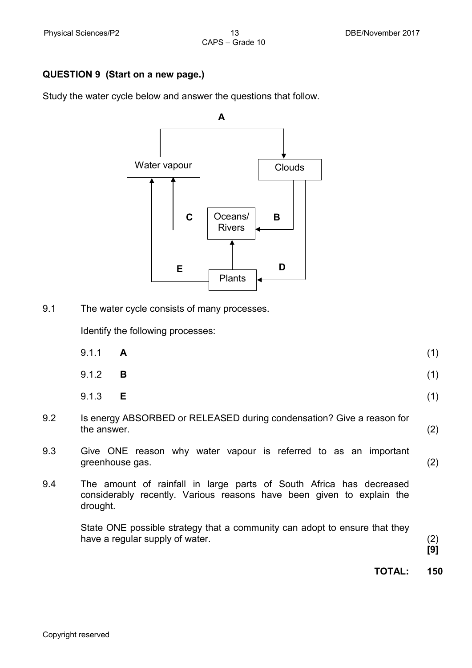### **QUESTION 9 (Start on a new page.)**

Study the water cycle below and answer the questions that follow.



9.1 The water cycle consists of many processes.

Identify the following processes:

|     | 9.1.1<br>A                                                                           | (1) |
|-----|--------------------------------------------------------------------------------------|-----|
|     | 9.1.2<br>B                                                                           | (1) |
|     | 9.1.3<br>- E                                                                         | (1) |
| 9.2 | Is energy ABSORBED or RELEASED during condensation? Give a reason for<br>the answer. | (2) |
| 9.3 | Give ONE reason why water vapour is referred to as an important<br>greenhouse gas.   |     |

9.4 The amount of rainfall in large parts of South Africa has decreased considerably recently. Various reasons have been given to explain the

> State ONE possible strategy that a community can adopt to ensure that they have a regular supply of water. (2)

**[9]**

**TOTAL: 150**

drought.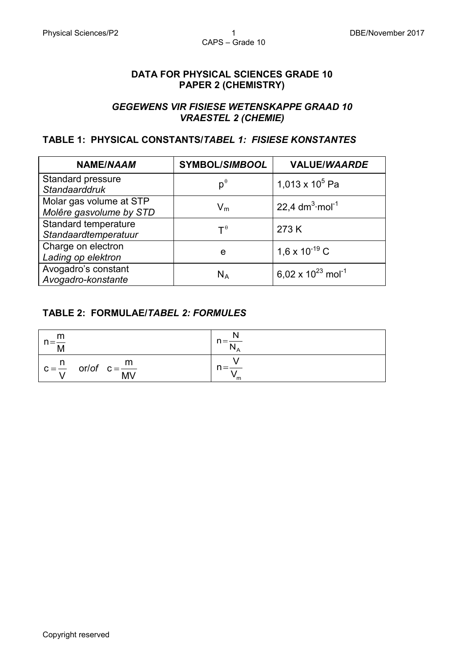### **DATA FOR PHYSICAL SCIENCES GRADE 10 PAPER 2 (CHEMISTRY)**

### *GEGEWENS VIR FISIESE WETENSKAPPE GRAAD 10 VRAESTEL 2 (CHEMIE)*

### **TABLE 1: PHYSICAL CONSTANTS/***TABEL 1: FISIESE KONSTANTES*

| <b>NAME/NAAM</b>                                   | <b>SYMBOL/SIMBOOL</b>   | <b>VALUE/WAARDE</b>                |
|----------------------------------------------------|-------------------------|------------------------------------|
| Standard pressure<br><b>Standaarddruk</b>          | $p^{\theta}$            | 1,013 x 10 <sup>5</sup> Pa         |
| Molar gas volume at STP<br>Molêre gasvolume by STD | $V_m$                   | 22,4 $dm^3$ ·mol <sup>-1</sup>     |
| Standard temperature<br>Standaardtemperatuur       | $T^{\theta}$            | 273 K                              |
| Charge on electron<br>Lading op elektron           | e                       | 1,6 x 10 <sup>-19</sup> C          |
| Avogadro's constant<br>Avogadro-konstante          | $\mathsf{N}_\mathsf{A}$ | 6,02 x $10^{23}$ mol <sup>-1</sup> |

### **TABLE 2: FORMULAE/***TABEL 2: FORMULES*

| m<br>$n=\frac{11}{M}$                     | $n = \frac{N}{N_A}$ |
|-------------------------------------------|---------------------|
| $c = \frac{n}{V}$ or/of $c = \frac{m}{M}$ | ™ ™                 |